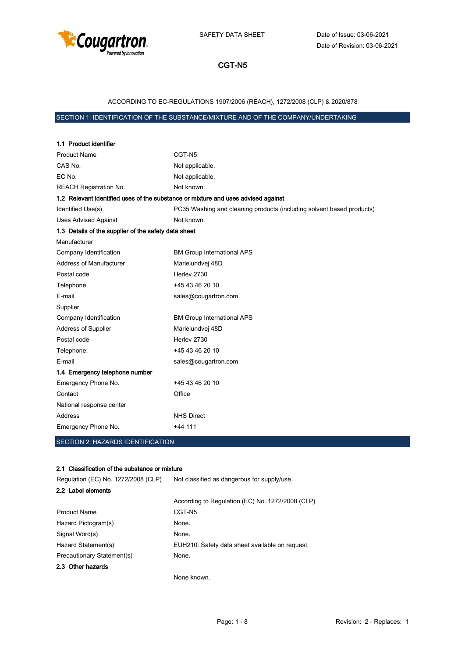

## ACCORDING TO EC-REGULATIONS 1907/2006 (REACH), 1272/2008 (CLP) & 2020/878

## SECTION 1: IDENTIFICATION OF THE SUBSTANCE/MIXTURE AND OF THE COMPANY/UNDERTAKING

| 1.1 Product identifier                                                            |                                                                       |
|-----------------------------------------------------------------------------------|-----------------------------------------------------------------------|
| <b>Product Name</b>                                                               | CGT-N5                                                                |
| CAS No.                                                                           | Not applicable.                                                       |
| EC No.                                                                            | Not applicable.                                                       |
| <b>REACH Registration No.</b>                                                     | Not known.                                                            |
| 1.2 Relevant identified uses of the substance or mixture and uses advised against |                                                                       |
| Identified Use(s)                                                                 | PC35 Washing and cleaning products (including solvent based products) |
| <b>Uses Advised Against</b>                                                       | Not known.                                                            |
| 1.3 Details of the supplier of the safety data sheet                              |                                                                       |
| Manufacturer                                                                      |                                                                       |
| Company Identification                                                            | <b>BM Group International APS</b>                                     |
| Address of Manufacturer                                                           | Marielundvej 48D                                                      |
| Postal code                                                                       | Herley 2730                                                           |
| Telephone                                                                         | +45 43 46 20 10                                                       |
| E-mail                                                                            | sales@cougartron.com                                                  |
| Supplier                                                                          |                                                                       |
| Company Identification                                                            | <b>BM Group International APS</b>                                     |
| <b>Address of Supplier</b>                                                        | Marielundvej 48D                                                      |
| Postal code                                                                       | Herley 2730                                                           |
| Telephone:                                                                        | +45 43 46 20 10                                                       |
| E-mail                                                                            | sales@cougartron.com                                                  |
| 1.4 Emergency telephone number                                                    |                                                                       |
| Emergency Phone No.                                                               | +45 43 46 20 10                                                       |
| Contact                                                                           | Office                                                                |
| National response center                                                          |                                                                       |
| Address                                                                           | <b>NHS Direct</b>                                                     |
| Emergency Phone No.                                                               | $+44$ 111                                                             |

## SECTION 2: HAZARDS IDENTIFICATION

#### 2.1 Classification of the substance or mixture

| Regulation (EC) No. 1272/2008 (CLP) | Not classified as dangerous for supply/use.      |
|-------------------------------------|--------------------------------------------------|
| 2.2 Label elements                  |                                                  |
|                                     | According to Regulation (EC) No. 1272/2008 (CLP) |
| <b>Product Name</b>                 | CGT-N5                                           |
| Hazard Pictogram(s)                 | None.                                            |
| Signal Word(s)                      | None.                                            |
| Hazard Statement(s)                 | EUH210: Safety data sheet available on request.  |
| Precautionary Statement(s)          | None.                                            |
| 2.3 Other hazards                   |                                                  |
|                                     |                                                  |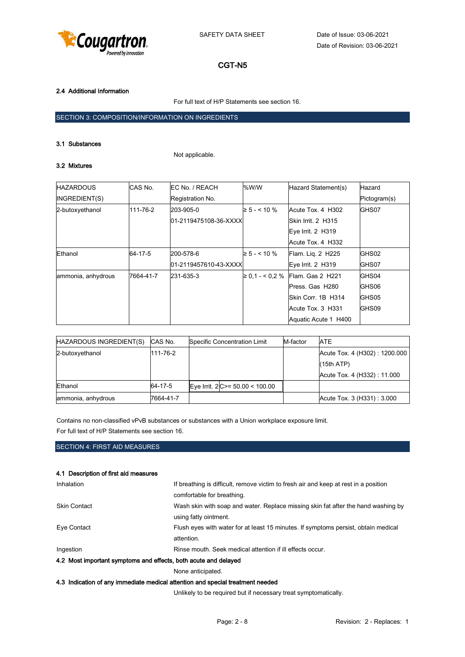

### 2.4 Additional Information

For full text of H/P Statements see section 16.

## SECTION 3: COMPOSITION/INFORMATION ON INGREDIENTS

#### 3.1 Substances

Not applicable.

#### 3.2 Mixtures

| <b>HAZARDOUS</b>   | CAS No.   | EC No. / REACH         | %W/W                | Hazard Statement(s)  | Hazard       |
|--------------------|-----------|------------------------|---------------------|----------------------|--------------|
| INGREDIENT(S)      |           | Registration No.       |                     |                      | Pictogram(s) |
| 2-butoxyethanol    | 111-76-2  | 203-905-0              | $\geq 5 - 5.10 \%$  | Acute Tox. 4 H302    | GHS07        |
|                    |           | 01-2119475108-36-XXXXI |                     | Skin Irrit. 2 H315   |              |
|                    |           | Eye Irrit. 2 H319      |                     |                      |              |
|                    |           |                        |                     | Acute Tox. 4 H332    |              |
| Ethanol            | 64-17-5   | 200-578-6              | $\geq 5 - 5.10 \%$  | Flam. Lig. 2 H225    | GHS02        |
|                    |           | 01-2119457610-43-XXXX  |                     | Eye Irrit. 2 H319    | GHS07        |
| ammonia, anhydrous | 7664-41-7 | 231-635-3              | $\geq 0.1 - 5.2 \%$ | Flam. Gas 2 H221     | GHS04        |
|                    |           |                        |                     | Press. Gas H280      | GHS06        |
|                    |           |                        |                     | Skin Corr. 1B H314   | GHS05        |
|                    |           |                        |                     | Acute Tox. 3 H331    | GHS09        |
|                    |           |                        |                     | Aquatic Acute 1 H400 |              |

| HAZARDOUS INGREDIENT(S) | CAS No.   | Specific Concentration Limit     | M-factor | <b>ATE</b>                    |
|-------------------------|-----------|----------------------------------|----------|-------------------------------|
| 2-butoxyethanol         | 111-76-2  |                                  |          | Acute Tox. 4 (H302): 1200.000 |
|                         |           |                                  |          | (15th ATP)                    |
|                         |           |                                  |          | Acute Tox. 4 (H332): 11.000   |
| Ethanol                 | 64-17-5   | Eye Irrit. $2 C>=50.00 < 100.00$ |          |                               |
| ammonia, anhydrous      | 7664-41-7 |                                  |          | Acute Tox. 3 (H331): 3.000    |

Contains no non-classified vPvB substances or substances with a Union workplace exposure limit.

For full text of H/P Statements see section 16.

## SECTION 4: FIRST AID MEASURES

#### 4.1 Description of first aid measures

| Inhalation                                                                     | If breathing is difficult, remove victim to fresh air and keep at rest in a position |  |  |
|--------------------------------------------------------------------------------|--------------------------------------------------------------------------------------|--|--|
|                                                                                | comfortable for breathing.                                                           |  |  |
| <b>Skin Contact</b>                                                            | Wash skin with soap and water. Replace missing skin fat after the hand washing by    |  |  |
|                                                                                | using fatty ointment.                                                                |  |  |
| Eye Contact                                                                    | Flush eyes with water for at least 15 minutes. If symptoms persist, obtain medical   |  |  |
|                                                                                | attention.                                                                           |  |  |
| Ingestion                                                                      | Rinse mouth. Seek medical attention if ill effects occur.                            |  |  |
| 4.2 Most important symptoms and effects, both acute and delayed                |                                                                                      |  |  |
|                                                                                | None anticipated.                                                                    |  |  |
| 4.3 Indication of any immediate medical attention and special treatment needed |                                                                                      |  |  |

Unlikely to be required but if necessary treat symptomatically.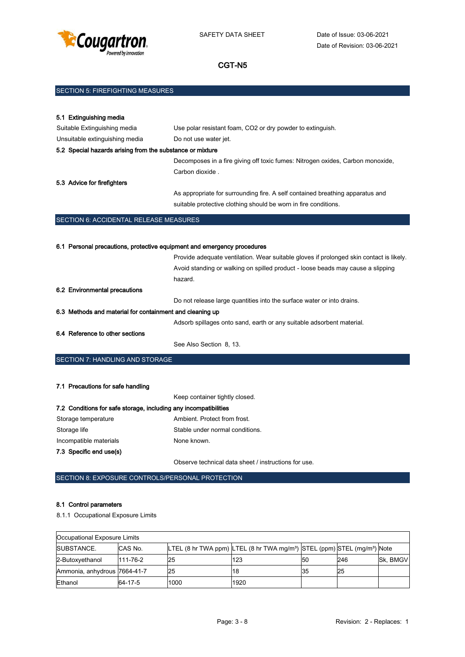

| SECTION 5: FIREFIGHTING MEASURES |  |
|----------------------------------|--|
|                                  |  |

| 5.1 Extinguishing media                                   |                                                                                |
|-----------------------------------------------------------|--------------------------------------------------------------------------------|
| Suitable Extinguishing media                              | Use polar resistant foam, CO2 or dry powder to extinguish.                     |
| Unsuitable extinguishing media                            | Do not use water jet.                                                          |
| 5.2 Special hazards arising from the substance or mixture |                                                                                |
|                                                           | Decomposes in a fire giving off toxic fumes: Nitrogen oxides, Carbon monoxide, |
|                                                           | Carbon dioxide.                                                                |
| 5.3 Advice for firefighters                               |                                                                                |
|                                                           | As appropriate for surrounding fire. A self contained breathing apparatus and  |
|                                                           | suitable protective clothing should be worn in fire conditions.                |
| <b>SECTION 6: ACCIDENTAL RELEASE MEASURES</b>             |                                                                                |
|                                                           |                                                                                |

| 6.1 Personal precautions, protective equipment and emergency procedures |                                                                                         |  |  |  |
|-------------------------------------------------------------------------|-----------------------------------------------------------------------------------------|--|--|--|
|                                                                         | Provide adequate ventilation. Wear suitable gloves if prolonged skin contact is likely. |  |  |  |
|                                                                         | Avoid standing or walking on spilled product - loose beads may cause a slipping         |  |  |  |
|                                                                         | hazard.                                                                                 |  |  |  |
| 6.2 Environmental precautions                                           |                                                                                         |  |  |  |
|                                                                         | Do not release large quantities into the surface water or into drains.                  |  |  |  |
| 6.3 Methods and material for containment and cleaning up                |                                                                                         |  |  |  |
|                                                                         | Adsorb spillages onto sand, earth or any suitable adsorbent material.                   |  |  |  |
| 6.4 Reference to other sections                                         |                                                                                         |  |  |  |
|                                                                         | See Also Section 8, 13.                                                                 |  |  |  |

SECTION 7: HANDLING AND STORAGE

# 7.1 Precautions for safe handling

|                                                                  | Keep container tightly closed.  |
|------------------------------------------------------------------|---------------------------------|
| 7.2 Conditions for safe storage, including any incompatibilities |                                 |
| Storage temperature                                              | Ambient. Protect from frost.    |
| Storage life                                                     | Stable under normal conditions. |
| Incompatible materials                                           | None known.                     |
| 7.3 Specific end use(s)                                          |                                 |
|                                                                  |                                 |

Observe technical data sheet / instructions for use.

SECTION 8: EXPOSURE CONTROLS/PERSONAL PROTECTION

## 8.1 Control parameters

8.1.1 Occupational Exposure Limits

| Occupational Exposure Limits |          |           |                                                                                                  |    |     |          |  |  |
|------------------------------|----------|-----------|--------------------------------------------------------------------------------------------------|----|-----|----------|--|--|
| <b>ISUBSTANCE.</b>           | CAS No.  |           | LTEL (8 hr TWA ppm) LTEL (8 hr TWA mg/m <sup>3</sup> ) STEL (ppm) STEL (mg/m <sup>3</sup> ) Note |    |     |          |  |  |
| 2-Butoxyethanol              | 111-76-2 | <b>25</b> | 123                                                                                              | 50 | 246 | Sk, BMGV |  |  |
| Ammonia, anhydrous 7664-41-7 |          | 25        | 18                                                                                               | 35 | 25  |          |  |  |
| Ethanol                      | 64-17-5  | 1000      | 1920                                                                                             |    |     |          |  |  |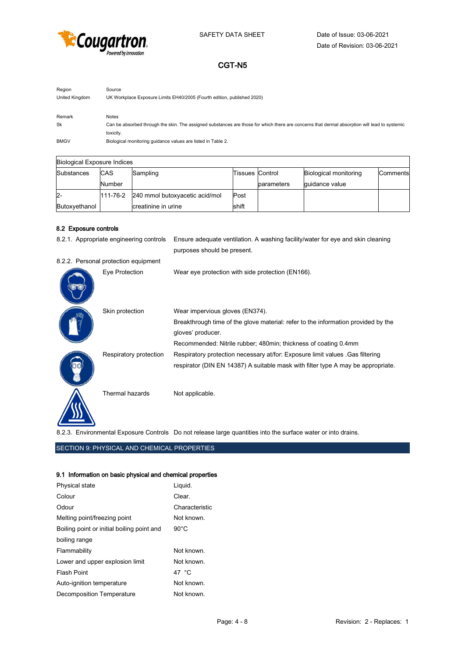

| Region         | Source                                                                                                                                        |
|----------------|-----------------------------------------------------------------------------------------------------------------------------------------------|
| United Kingdom | UK Workplace Exposure Limits EH40/2005 (Fourth edition, published 2020)                                                                       |
|                |                                                                                                                                               |
| Remark         | Notes                                                                                                                                         |
| Sk             | Can be absorbed through the skin. The assigned substances are those for which there are concerns that dermal absorption will lead to systemic |
|                | toxicity.                                                                                                                                     |
| <b>BMGV</b>    | Biological monitoring guidance values are listed in Table 2.                                                                                  |

| <b>Biological Exposure Indices</b> |            |                                |                          |            |                              |          |  |
|------------------------------------|------------|--------------------------------|--------------------------|------------|------------------------------|----------|--|
| Substances                         | <b>CAS</b> | Sampling                       | Tissues <b>I</b> Control |            | <b>Biological monitoring</b> | Comments |  |
|                                    | Number     |                                |                          | parameters | quidance value               |          |  |
| $2 -$                              | l111-76-2  | 240 mmol butoxyacetic acid/mol | Post                     |            |                              |          |  |
| Butoxyethanol                      |            | creatinine in urine            | shift                    |            |                              |          |  |

#### 8.2 Exposure controls

|  | 8.2.1. Appropriate engineering controls | Ensure adequate ventilation. A washing facility/water for eye and skin cleaning   |
|--|-----------------------------------------|-----------------------------------------------------------------------------------|
|  |                                         | purposes should be present.                                                       |
|  | 8.2.2. Personal protection equipment    |                                                                                   |
|  | Eye Protection                          | Wear eye protection with side protection (EN166).                                 |
|  | Skin protection                         | Wear impervious gloves (EN374).                                                   |
|  |                                         | Breakthrough time of the glove material: refer to the information provided by the |
|  |                                         | gloves' producer.                                                                 |
|  |                                         | Recommended: Nitrile rubber; 480min; thickness of coating 0.4mm                   |
|  | Respiratory protection                  | Respiratory protection necessary at/for: Exposure limit values . Gas filtering    |
|  |                                         | respirator (DIN EN 14387) A suitable mask with filter type A may be appropriate.  |
|  | Thermal hazards                         | Not applicable.                                                                   |
|  |                                         |                                                                                   |

8.2.3. Environmental Exposure Controls Do not release large quantities into the surface water or into drains.

## SECTION 9: PHYSICAL AND CHEMICAL PROPERTIES

#### 9.1 Information on basic physical and chemical properties

| Physical state                             | Liquid.        |
|--------------------------------------------|----------------|
| Colour                                     | Clear          |
| Odour                                      | Characteristic |
| Melting point/freezing point               | Not known.     |
| Boiling point or initial boiling point and | $90^{\circ}$ C |
| boiling range                              |                |
| Flammability                               | Not known      |
| Lower and upper explosion limit            | Not known.     |
| Flash Point                                | 47 °C          |
| Auto-ignition temperature                  | Not known.     |
| Decomposition Temperature                  | Not known.     |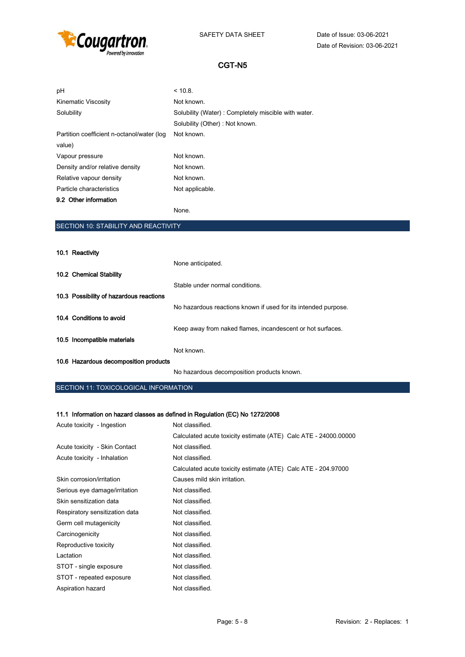

| pH                                         | < 10.8                                              |
|--------------------------------------------|-----------------------------------------------------|
| <b>Kinematic Viscosity</b>                 | Not known.                                          |
| Solubility                                 | Solubility (Water): Completely miscible with water. |
|                                            | Solubility (Other): Not known.                      |
| Partition coefficient n-octanol/water (log | Not known.                                          |
| value)                                     |                                                     |
| Vapour pressure                            | Not known.                                          |
| Density and/or relative density            | Not known.                                          |
| Relative vapour density                    | Not known.                                          |
| Particle characteristics                   | Not applicable.                                     |
| 9.2 Other information                      |                                                     |
|                                            | None.                                               |

# SECTION 10: STABILITY AND REACTIVITY

| 10.1 Reactivity                         |                                                                |
|-----------------------------------------|----------------------------------------------------------------|
|                                         | None anticipated.                                              |
| 10.2 Chemical Stability                 |                                                                |
|                                         | Stable under normal conditions.                                |
| 10.3 Possibility of hazardous reactions |                                                                |
|                                         | No hazardous reactions known if used for its intended purpose. |
| 10.4 Conditions to avoid                |                                                                |
|                                         | Keep away from naked flames, incandescent or hot surfaces.     |
| 10.5 Incompatible materials             |                                                                |
|                                         | Not known.                                                     |
| 10.6 Hazardous decomposition products   |                                                                |
|                                         | No hazardous decomposition products known.                     |

### SECTION 11: TOXICOLOGICAL INFORMATION

## 11.1 Information on hazard classes as defined in Regulation (EC) No 1272/2008

| Acute toxicity - Ingestion     | Not classified.                                                 |
|--------------------------------|-----------------------------------------------------------------|
|                                | Calculated acute toxicity estimate (ATE) Calc ATE - 24000.00000 |
| Acute toxicity - Skin Contact  | Not classified.                                                 |
| Acute toxicity - Inhalation    | Not classified.                                                 |
|                                | Calculated acute toxicity estimate (ATE) Calc ATE - 204.97000   |
| Skin corrosion/irritation      | Causes mild skin irritation.                                    |
| Serious eye damage/irritation  | Not classified.                                                 |
| Skin sensitization data        | Not classified.                                                 |
| Respiratory sensitization data | Not classified.                                                 |
| Germ cell mutagenicity         | Not classified.                                                 |
| Carcinogenicity                | Not classified.                                                 |
| Reproductive toxicity          | Not classified.                                                 |
| Lactation                      | Not classified.                                                 |
| STOT - single exposure         | Not classified.                                                 |
| STOT - repeated exposure       | Not classified.                                                 |
| Aspiration hazard              | Not classified.                                                 |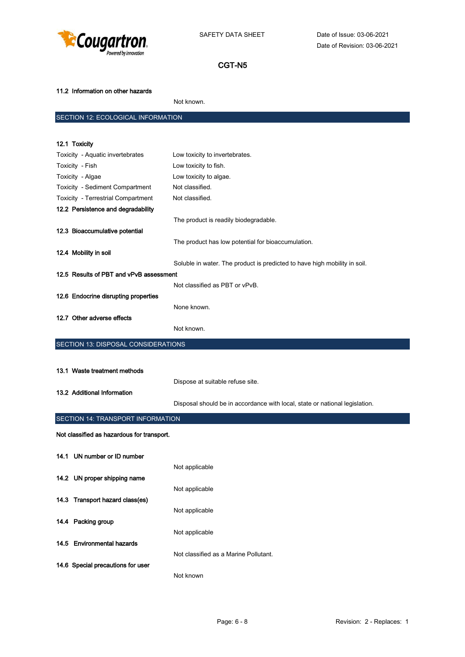

### 11.2 Information on other hazards

Not known.

# SECTION 12: ECOLOGICAL INFORMATION

| 12.1 Toxicity                              |                                                                             |
|--------------------------------------------|-----------------------------------------------------------------------------|
| Toxicity - Aquatic invertebrates           | Low toxicity to invertebrates.                                              |
| Toxicity - Fish                            | Low toxicity to fish.                                                       |
| Toxicity - Algae                           | Low toxicity to algae.                                                      |
| Toxicity - Sediment Compartment            | Not classified.                                                             |
| Toxicity - Terrestrial Compartment         | Not classified.                                                             |
| 12.2 Persistence and degradability         |                                                                             |
|                                            | The product is readily biodegradable.                                       |
| 12.3 Bioaccumulative potential             |                                                                             |
|                                            | The product has low potential for bioaccumulation.                          |
| 12.4 Mobility in soil                      |                                                                             |
|                                            | Soluble in water. The product is predicted to have high mobility in soil.   |
| 12.5 Results of PBT and vPvB assessment    |                                                                             |
|                                            | Not classified as PBT or vPvB.                                              |
| 12.6 Endocrine disrupting properties       |                                                                             |
|                                            | None known.                                                                 |
| 12.7 Other adverse effects                 |                                                                             |
|                                            | Not known.                                                                  |
| <b>SECTION 13: DISPOSAL CONSIDERATIONS</b> |                                                                             |
|                                            |                                                                             |
| 13.1 Waste treatment methods               |                                                                             |
|                                            | Dispose at suitable refuse site.                                            |
| 13.2 Additional Information                |                                                                             |
|                                            | Disposal should be in accordance with local, state or national legislation. |
|                                            |                                                                             |
| SECTION 14: TRANSPORT INFORMATION          |                                                                             |
| Not classified as hazardous for transport. |                                                                             |
|                                            |                                                                             |
| 14.1 UN number or ID number                |                                                                             |
|                                            | Not applicable                                                              |
| 14.2 UN proper shipping name               |                                                                             |
|                                            | Not applicable                                                              |
| 14.3 Transport hazard class(es)            |                                                                             |
|                                            | Not applicable                                                              |
| 14.4 Packing group                         |                                                                             |
|                                            | Not applicable                                                              |
| 14.5 Environmental hazards                 |                                                                             |
|                                            | Not classified as a Marine Pollutant.                                       |
| 14.6 Special precautions for user          |                                                                             |
|                                            |                                                                             |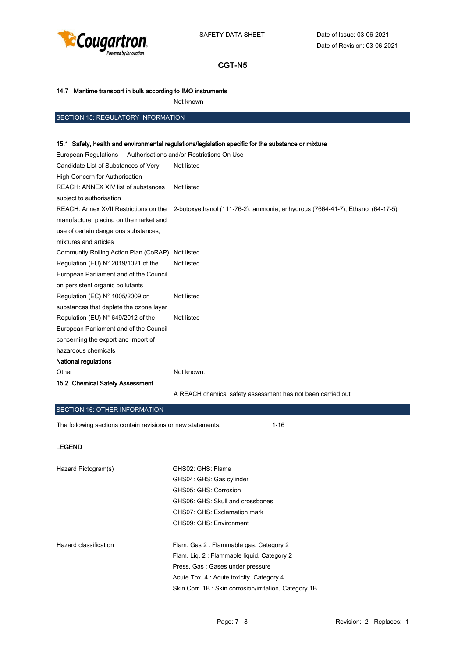

### 14.7 Maritime transport in bulk according to IMO instruments

Not known

## SECTION 15: REGULATORY INFORMATION

#### 15.1 Safety, health and environmental regulations/legislation specific for the substance or mixture

| European Regulations - Authorisations and/or Restrictions On Use |                                                                               |
|------------------------------------------------------------------|-------------------------------------------------------------------------------|
| Candidate List of Substances of Very                             | Not listed                                                                    |
| High Concern for Authorisation                                   |                                                                               |
| REACH: ANNEX XIV list of substances                              | Not listed                                                                    |
| subject to authorisation                                         |                                                                               |
| REACH: Annex XVII Restrictions on the                            | 2-butoxyethanol (111-76-2), ammonia, anhydrous (7664-41-7), Ethanol (64-17-5) |
| manufacture, placing on the market and                           |                                                                               |
| use of certain dangerous substances,                             |                                                                               |
| mixtures and articles                                            |                                                                               |
| Community Rolling Action Plan (CoRAP)                            | Not listed                                                                    |
| Regulation (EU) N° 2019/1021 of the                              | Not listed                                                                    |
| European Parliament and of the Council                           |                                                                               |
| on persistent organic pollutants                                 |                                                                               |
| Regulation (EC) N° 1005/2009 on                                  | Not listed                                                                    |
| substances that deplete the ozone layer                          |                                                                               |
| Regulation (EU) N° 649/2012 of the                               | Not listed                                                                    |
| European Parliament and of the Council                           |                                                                               |
| concerning the export and import of                              |                                                                               |
| hazardous chemicals                                              |                                                                               |
| <b>National regulations</b>                                      |                                                                               |
| Other                                                            | Not known.                                                                    |
| 15.2 Chemical Safety Assessment                                  |                                                                               |
|                                                                  | A REACH chemical safety assessment has not been carried out.                  |

#### SECTION 16: OTHER INFORMATION

The following sections contain revisions or new statements: 1-16

#### LEGEND

| Hazard Pictogram(s)   | GHS02: GHS: Flame                                     |
|-----------------------|-------------------------------------------------------|
|                       | GHS04: GHS: Gas cylinder                              |
|                       | GHS05: GHS: Corrosion                                 |
|                       | GHS06: GHS: Skull and crossbones                      |
|                       | GHS07: GHS: Exclamation mark                          |
|                       | GHS09: GHS: Environment                               |
| Hazard classification | Flam. Gas 2: Flammable gas, Category 2                |
|                       | Flam. Lig. 2: Flammable liquid, Category 2            |
|                       | Press. Gas: Gases under pressure                      |
|                       | Acute Tox. 4 : Acute toxicity, Category 4             |
|                       | Skin Corr. 1B: Skin corrosion/irritation, Category 1B |
|                       |                                                       |